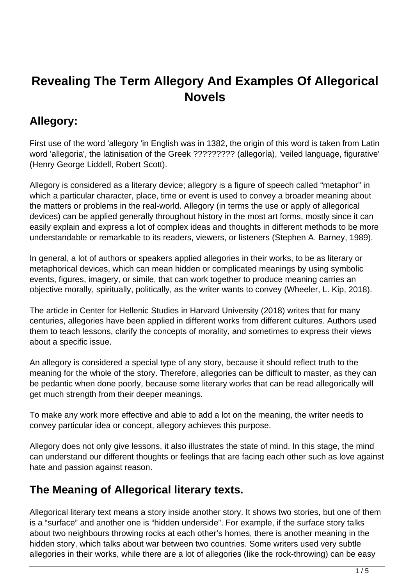# **Revealing The Term Allegory And Examples Of Allegorical Novels**

# **Allegory:**

First use of the word 'allegory 'in English was in 1382, the origin of this word is taken from Latin word 'allegoria', the latinisation of the Greek ????????? (allegoría), 'veiled language, figurative' (Henry George Liddell, Robert Scott).

Allegory is considered as a literary device; allegory is a figure of speech called "metaphor" in which a particular character, place, time or event is used to convey a broader meaning about the matters or problems in the real-world. Allegory (in terms the use or apply of allegorical devices) can be applied generally throughout history in the most art forms, mostly since it can easily explain and express a lot of complex ideas and thoughts in different methods to be more understandable or remarkable to its readers, viewers, or listeners (Stephen A. Barney, 1989).

In general, a lot of authors or speakers applied allegories in their works, to be as literary or metaphorical devices, which can mean hidden or complicated meanings by using symbolic events, figures, imagery, or simile, that can work together to produce meaning carries an objective morally, spiritually, politically, as the writer wants to convey (Wheeler, L. Kip, 2018).

The article in Center for Hellenic Studies in Harvard University (2018) writes that for many centuries, allegories have been applied in different works from different cultures. Authors used them to teach lessons, clarify the concepts of morality, and sometimes to express their views about a specific issue.

An allegory is considered a special type of any story, because it should reflect truth to the meaning for the whole of the story. Therefore, allegories can be difficult to master, as they can be pedantic when done poorly, because some literary works that can be read allegorically will get much strength from their deeper meanings.

To make any work more effective and able to add a lot on the meaning, the writer needs to convey particular idea or concept, allegory achieves this purpose.

Allegory does not only give lessons, it also illustrates the state of mind. In this stage, the mind can understand our different thoughts or feelings that are facing each other such as love against hate and passion against reason.

## **The Meaning of Allegorical literary texts.**

Allegorical literary text means a story inside another story. It shows two stories, but one of them is a "surface" and another one is "hidden underside". For example, if the surface story talks about two neighbours throwing rocks at each other's homes, there is another meaning in the hidden story, which talks about war between two countries. Some writers used very subtle allegories in their works, while there are a lot of allegories (like the rock-throwing) can be easy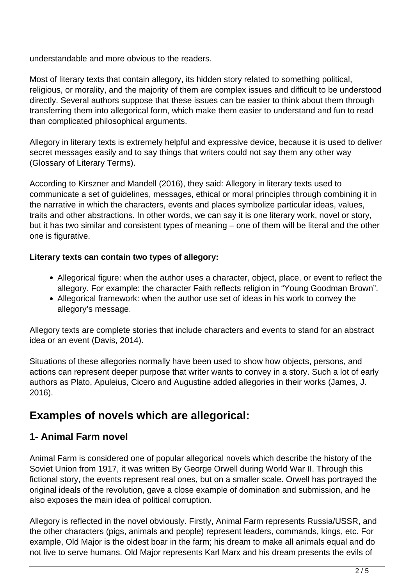understandable and more obvious to the readers.

Most of literary texts that contain allegory, its hidden story related to something political, religious, or morality, and the majority of them are complex issues and difficult to be understood directly. Several authors suppose that these issues can be easier to think about them through transferring them into allegorical form, which make them easier to understand and fun to read than complicated philosophical arguments.

Allegory in literary texts is extremely helpful and expressive device, because it is used to deliver secret messages easily and to say things that writers could not say them any other way (Glossary of Literary Terms).

According to Kirszner and Mandell (2016), they said: Allegory in literary texts used to communicate a set of guidelines, messages, ethical or moral principles through combining it in the narrative in which the characters, events and places symbolize particular ideas, values, traits and other abstractions. In other words, we can say it is one literary work, novel or story, but it has two similar and consistent types of meaning – one of them will be literal and the other one is figurative.

#### **Literary texts can contain two types of allegory:**

- Allegorical figure: when the author uses a character, object, place, or event to reflect the allegory. For example: the character Faith reflects religion in "Young Goodman Brown".
- Allegorical framework: when the author use set of ideas in his work to convey the allegory's message.

Allegory texts are complete stories that include characters and events to stand for an abstract idea or an event (Davis, 2014).

Situations of these allegories normally have been used to show how objects, persons, and actions can represent deeper purpose that writer wants to convey in a story. Such a lot of early authors as Plato, Apuleius, Cicero and Augustine added allegories in their works (James, J. 2016).

## **Examples of novels which are allegorical:**

#### **1- Animal Farm novel**

Animal Farm is considered one of popular allegorical novels which describe the history of the Soviet Union from 1917, it was written By George Orwell during World War II. Through this fictional story, the events represent real ones, but on a smaller scale. Orwell has portrayed the original ideals of the revolution, gave a close example of domination and submission, and he also exposes the main idea of political corruption.

Allegory is reflected in the novel obviously. Firstly, Animal Farm represents Russia/USSR, and the other characters (pigs, animals and people) represent leaders, commands, kings, etc. For example, Old Major is the oldest boar in the farm; his dream to make all animals equal and do not live to serve humans. Old Major represents Karl Marx and his dream presents the evils of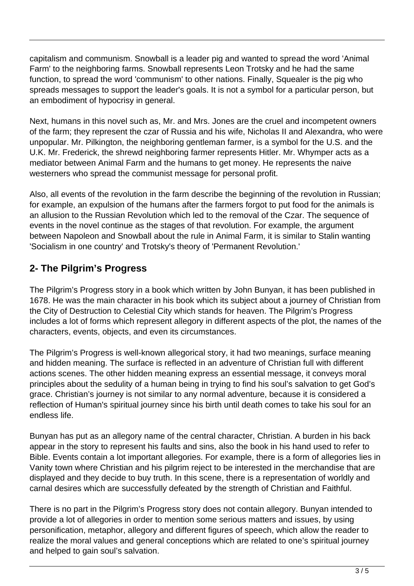capitalism and communism. Snowball is a leader pig and wanted to spread the word 'Animal Farm' to the neighboring farms. Snowball represents Leon Trotsky and he had the same function, to spread the word 'communism' to other nations. Finally, Squealer is the pig who spreads messages to support the leader's goals. It is not a symbol for a particular person, but an embodiment of hypocrisy in general.

Next, humans in this novel such as, Mr. and Mrs. Jones are the cruel and incompetent owners of the farm; they represent the czar of Russia and his wife, Nicholas II and Alexandra, who were unpopular. Mr. Pilkington, the neighboring gentleman farmer, is a symbol for the U.S. and the U.K. Mr. Frederick, the shrewd neighboring farmer represents Hitler. Mr. Whymper acts as a mediator between Animal Farm and the humans to get money. He represents the naive westerners who spread the communist message for personal profit.

Also, all events of the revolution in the farm describe the beginning of the revolution in Russian; for example, an expulsion of the humans after the farmers forgot to put food for the animals is an allusion to the Russian Revolution which led to the removal of the Czar. The sequence of events in the novel continue as the stages of that revolution. For example, the argument between Napoleon and Snowball about the rule in Animal Farm, it is similar to Stalin wanting 'Socialism in one country' and Trotsky's theory of 'Permanent Revolution.'

### **2- The Pilgrim's Progress**

The Pilgrim's Progress story in a book which written by John Bunyan, it has been published in 1678. He was the main character in his book which its subject about a journey of Christian from the City of Destruction to Celestial City which stands for heaven. The Pilgrim's Progress includes a lot of forms which represent allegory in different aspects of the plot, the names of the characters, events, objects, and even its circumstances.

The Pilgrim's Progress is well-known allegorical story, it had two meanings, surface meaning and hidden meaning. The surface is reflected in an adventure of Christian full with different actions scenes. The other hidden meaning express an essential message, it conveys moral principles about the sedulity of a human being in trying to find his soul's salvation to get God's grace. Christian's journey is not similar to any normal adventure, because it is considered a reflection of Human's spiritual journey since his birth until death comes to take his soul for an endless life.

Bunyan has put as an allegory name of the central character, Christian. A burden in his back appear in the story to represent his faults and sins, also the book in his hand used to refer to Bible. Events contain a lot important allegories. For example, there is a form of allegories lies in Vanity town where Christian and his pilgrim reject to be interested in the merchandise that are displayed and they decide to buy truth. In this scene, there is a representation of worldly and carnal desires which are successfully defeated by the strength of Christian and Faithful.

There is no part in the Pilgrim's Progress story does not contain allegory. Bunyan intended to provide a lot of allegories in order to mention some serious matters and issues, by using personification, metaphor, allegory and different figures of speech, which allow the reader to realize the moral values and general conceptions which are related to one's spiritual journey and helped to gain soul's salvation.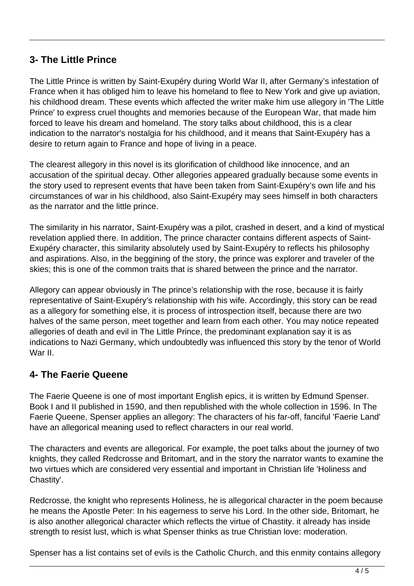#### **3- The Little Prince**

The Little Prince is written by Saint-Exupéry during World War II, after Germany's infestation of France when it has obliged him to leave his homeland to flee to New York and give up aviation, his childhood dream. These events which affected the writer make him use allegory in 'The Little Prince' to express cruel thoughts and memories because of the European War, that made him forced to leave his dream and homeland. The story talks about childhood, this is a clear indication to the narrator's nostalgia for his childhood, and it means that Saint-Exupéry has a desire to return again to France and hope of living in a peace.

The clearest allegory in this novel is its glorification of childhood like innocence, and an accusation of the spiritual decay. Other allegories appeared gradually because some events in the story used to represent events that have been taken from Saint-Exupéry's own life and his circumstances of war in his childhood, also Saint-Exupéry may sees himself in both characters as the narrator and the little prince.

The similarity in his narrator, Saint-Exupéry was a pilot, crashed in desert, and a kind of mystical revelation applied there. In addition, The prince character contains different aspects of Saint-Exupéry character, this similarity absolutely used by Saint-Exupéry to reflects his philosophy and aspirations. Also, in the beggining of the story, the prince was explorer and traveler of the skies; this is one of the common traits that is shared between the prince and the narrator.

Allegory can appear obviously in The prince's relationship with the rose, because it is fairly representative of Saint-Exupéry's relationship with his wife. Accordingly, this story can be read as a allegory for something else, it is process of introspection itself, because there are two halves of the same person, meet together and learn from each other. You may notice repeated allegories of death and evil in The Little Prince, the predominant explanation say it is as indications to Nazi Germany, which undoubtedly was influenced this story by the tenor of World War II

#### **4- The Faerie Queene**

The Faerie Queene is one of most important English epics, it is written by Edmund Spenser. Book I and II published in 1590, and then republished with the whole collection in 1596. In The Faerie Queene, Spenser applies an allegory: The characters of his far-off, fanciful 'Faerie Land' have an allegorical meaning used to reflect characters in our real world.

The characters and events are allegorical. For example, the poet talks about the journey of two knights, they called Redcrosse and Britomart, and in the story the narrator wants to examine the two virtues which are considered very essential and important in Christian life 'Holiness and Chastity'.

Redcrosse, the knight who represents Holiness, he is allegorical character in the poem because he means the Apostle Peter: In his eagerness to serve his Lord. In the other side, Britomart, he is also another allegorical character which reflects the virtue of Chastity. it already has inside strength to resist lust, which is what Spenser thinks as true Christian love: moderation.

Spenser has a list contains set of evils is the Catholic Church, and this enmity contains allegory